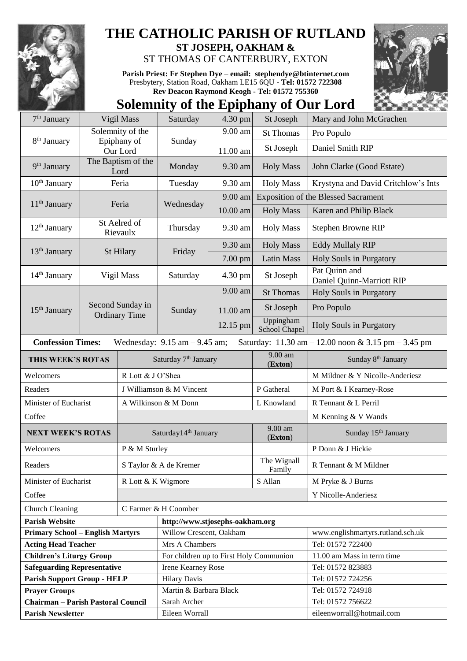

## **THE CATHOLIC PARISH OF RUTLAND**

**ST JOSEPH, OAKHAM &**  ST THOMAS OF CANTERBURY, EXTON

**Parish Priest: Fr Stephen Dye** – **[email: stephendye@btinternet.com](mailto:email:%20%20stephendye@btinternet.com)** Presbytery, Station Road, Oakham LE15 6QU - **Tel: 01572 722308 Rev Deacon Raymond Keogh - Tel: 01572 755360**



## **Solemnity of the Epiphany of Our Lord**

| 7 <sup>th</sup> January                                                                                                                                 | Vigil Mass                 |                                          | Saturday                                | $4.30$ pm         | St Joseph                  | Mary and John McGrachen                        |  |
|---------------------------------------------------------------------------------------------------------------------------------------------------------|----------------------------|------------------------------------------|-----------------------------------------|-------------------|----------------------------|------------------------------------------------|--|
|                                                                                                                                                         | Solemnity of the           |                                          | Sunday                                  | 9.00 am           | <b>St Thomas</b>           | Pro Populo                                     |  |
| 8 <sup>th</sup> January                                                                                                                                 |                            | Epiphany of<br>Our Lord                  |                                         | 11.00 am          | St Joseph                  | Daniel Smith RIP                               |  |
| 9 <sup>th</sup> January                                                                                                                                 | The Baptism of the<br>Lord |                                          | Monday                                  | 9.30 am           | <b>Holy Mass</b>           | John Clarke (Good Estate)                      |  |
| $10th$ January                                                                                                                                          | Feria                      |                                          | Tuesday                                 | 9.30 am           | <b>Holy Mass</b>           | Krystyna and David Critchlow's Ints            |  |
|                                                                                                                                                         |                            |                                          | Wednesday                               | 9.00 am           |                            | <b>Exposition of the Blessed Sacrament</b>     |  |
| $11th$ January                                                                                                                                          |                            | Feria                                    |                                         | 10.00 am          | <b>Holy Mass</b>           | Karen and Philip Black                         |  |
| $12th$ January                                                                                                                                          | St Aelred of<br>Rievaulx   |                                          | Thursday                                | 9.30 am           | <b>Holy Mass</b>           | Stephen Browne RIP                             |  |
| 13 <sup>th</sup> January                                                                                                                                |                            |                                          | Friday                                  | 9.30 am           | <b>Holy Mass</b>           | <b>Eddy Mullaly RIP</b>                        |  |
|                                                                                                                                                         | St Hilary                  |                                          |                                         | 7.00 pm           | <b>Latin Mass</b>          | Holy Souls in Purgatory                        |  |
| 14 <sup>th</sup> January                                                                                                                                | Vigil Mass                 |                                          | Saturday                                | 4.30 pm           | St Joseph                  | Pat Quinn and<br>Daniel Quinn-Marriott RIP     |  |
| $15th$ January                                                                                                                                          |                            | Second Sunday in<br><b>Ordinary Time</b> | Sunday                                  | $9.00 \text{ am}$ | <b>St Thomas</b>           | Holy Souls in Purgatory                        |  |
|                                                                                                                                                         |                            |                                          |                                         | 11.00 am          | St Joseph                  | Pro Populo                                     |  |
|                                                                                                                                                         |                            |                                          |                                         | 12.15 pm          | Uppingham<br>School Chapel | Holy Souls in Purgatory                        |  |
| <b>Confession Times:</b><br>Wednesday: $9.15$ am $- 9.45$ am;<br>Saturday: $11.30 \text{ am} - 12.00 \text{ noon} \& 3.15 \text{ pm} - 3.45 \text{ pm}$ |                            |                                          |                                         |                   |                            |                                                |  |
| THIS WEEK'S ROTAS                                                                                                                                       |                            |                                          | Saturday 7 <sup>th</sup> January        |                   | 9.00 am<br>(Exton)         | Sunday 8 <sup>th</sup> January                 |  |
| Welcomers                                                                                                                                               |                            |                                          | R Lott & J O'Shea                       |                   |                            | M Mildner & Y Nicolle-Anderiesz                |  |
| Readers                                                                                                                                                 |                            | J Williamson & M Vincent                 |                                         |                   |                            |                                                |  |
|                                                                                                                                                         |                            |                                          |                                         |                   | P Gatheral                 | M Port & I Kearney-Rose                        |  |
| Minister of Eucharist                                                                                                                                   |                            |                                          | A Wilkinson & M Donn                    |                   | L Knowland                 | R Tennant & L Perril                           |  |
| Coffee                                                                                                                                                  |                            |                                          |                                         |                   |                            | M Kenning & V Wands                            |  |
| <b>NEXT WEEK'S ROTAS</b>                                                                                                                                |                            |                                          | Saturday14 <sup>th</sup> January        |                   | $9.00$ am<br>(Exton)       | Sunday 15 <sup>th</sup> January                |  |
| Welcomers                                                                                                                                               |                            | P & M Sturley                            |                                         |                   |                            | P Donn & J Hickie                              |  |
| Readers                                                                                                                                                 |                            |                                          | S Taylor & A de Kremer                  |                   | The Wignall<br>Family      | R Tennant & M Mildner                          |  |
| Minister of Eucharist                                                                                                                                   |                            | R Lott & K Wigmore                       |                                         |                   | S Allan                    | M Pryke & J Burns                              |  |
| Coffee                                                                                                                                                  |                            |                                          |                                         |                   |                            | Y Nicolle-Anderiesz                            |  |
| <b>Church Cleaning</b>                                                                                                                                  |                            |                                          | C Farmer & H Coomber                    |                   |                            |                                                |  |
| <b>Parish Website</b>                                                                                                                                   |                            |                                          | http://www.stjosephs-oakham.org         |                   |                            |                                                |  |
| <b>Primary School - English Martyrs</b>                                                                                                                 |                            |                                          | Willow Crescent, Oakham                 |                   |                            | www.englishmartyrs.rutland.sch.uk              |  |
| <b>Acting Head Teacher</b>                                                                                                                              |                            |                                          | Mrs A Chambers                          |                   |                            | Tel: 01572 722400                              |  |
| <b>Children's Liturgy Group</b>                                                                                                                         |                            |                                          | For children up to First Holy Communion |                   |                            | 11.00 am Mass in term time                     |  |
| <b>Safeguarding Representative</b>                                                                                                                      |                            |                                          | Irene Kearney Rose                      |                   |                            | Tel: 01572 823883                              |  |
| <b>Parish Support Group - HELP</b>                                                                                                                      |                            |                                          | <b>Hilary Davis</b>                     |                   |                            | Tel: 01572 724256                              |  |
| <b>Prayer Groups</b>                                                                                                                                    |                            |                                          | Martin & Barbara Black                  |                   |                            | Tel: 01572 724918                              |  |
| <b>Chairman - Parish Pastoral Council</b><br><b>Parish Newsletter</b>                                                                                   |                            |                                          | Sarah Archer<br>Eileen Worrall          |                   |                            | Tel: 01572 756622<br>eileenworrall@hotmail.com |  |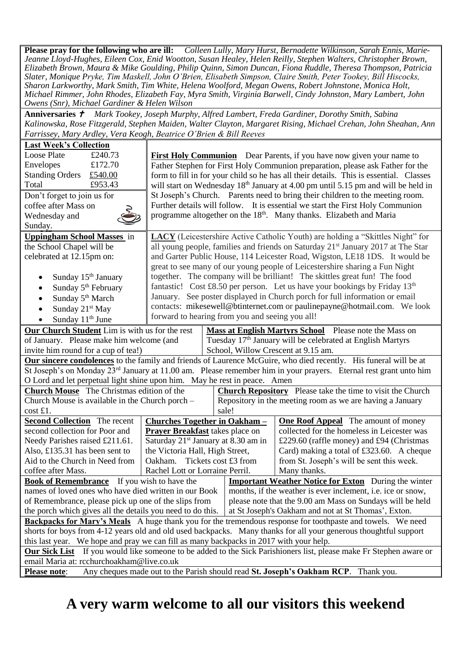**Please pray for the following who are ill:** *Colleen Lully, Mary Hurst, Bernadette Wilkinson, Sarah Ennis, Marie-Jeanne Lloyd-Hughes, Eileen Cox, Enid Wootton, Susan Healey, Helen Reilly, Stephen Walters, Christopher Brown, Elizabeth Brown, Maura & Mike Goulding, Philip Quinn, Simon Duncan, Fiona Ruddle, Theresa Thompson, Patricia Slater, Monique Pryke, Tim Maskell, John O'Brien, Elisabeth Simpson, Claire Smith, Peter Tookey, Bill Hiscocks, Sharon Larkworthy, Mark Smith, Tim White, Helena Woolford, Megan Owens, Robert Johnstone, Monica Holt, Michael Rimmer, John Rhodes, Elizabeth Fay, Myra Smith, Virginia Barwell, Cindy Johnston, Mary Lambert, John Owens (Snr), Michael Gardiner & Helen Wilson*

**Anniversaries**  *Mark Tookey, Joseph Murphy, Alfred Lambert, Freda Gardiner, Dorothy Smith, Sabina Kalinowska, Rose Fitzgerald, Stephen Maiden, Walter Clayton, Margaret Rising, Michael Crehan, John Sheahan, Ann Farrissey, Mary Ardley, Vera Keogh, Beatrice O'Brien & Bill Reeves*

| Farrissey, Mary Ardley, Vera Keogh, Beatrice O'Brien & Bill Reeves                                                           |                                                                                               |                                                                                                                                                          |                                                                                                                              |  |  |  |  |
|------------------------------------------------------------------------------------------------------------------------------|-----------------------------------------------------------------------------------------------|----------------------------------------------------------------------------------------------------------------------------------------------------------|------------------------------------------------------------------------------------------------------------------------------|--|--|--|--|
| <b>Last Week's Collection</b>                                                                                                |                                                                                               |                                                                                                                                                          |                                                                                                                              |  |  |  |  |
| Loose Plate<br>£240.73                                                                                                       |                                                                                               | <b>First Holy Communion</b> Dear Parents, if you have now given your name to                                                                             |                                                                                                                              |  |  |  |  |
| Envelopes<br>£172.70                                                                                                         |                                                                                               | Father Stephen for First Holy Communion preparation, please ask Father for the                                                                           |                                                                                                                              |  |  |  |  |
| <b>Standing Orders</b><br>£540.00                                                                                            |                                                                                               |                                                                                                                                                          | form to fill in for your child so he has all their details. This is essential. Classes                                       |  |  |  |  |
| £953.43<br>Total                                                                                                             | will start on Wednesday 18 <sup>th</sup> January at 4.00 pm until 5.15 pm and will be held in |                                                                                                                                                          |                                                                                                                              |  |  |  |  |
| Don't forget to join us for                                                                                                  |                                                                                               | St Joseph's Church. Parents need to bring their children to the meeting room.                                                                            |                                                                                                                              |  |  |  |  |
| coffee after Mass on                                                                                                         | Further details will follow. It is essential we start the First Holy Communion                |                                                                                                                                                          |                                                                                                                              |  |  |  |  |
| Wednesday and                                                                                                                | programme altogether on the 18 <sup>th</sup> . Many thanks. Elizabeth and Maria               |                                                                                                                                                          |                                                                                                                              |  |  |  |  |
| Sunday.                                                                                                                      |                                                                                               |                                                                                                                                                          |                                                                                                                              |  |  |  |  |
| <b>Uppingham School Masses</b> in                                                                                            | LACY (Leicestershire Active Catholic Youth) are holding a "Skittles Night" for                |                                                                                                                                                          |                                                                                                                              |  |  |  |  |
| the School Chapel will be                                                                                                    | all young people, families and friends on Saturday 21 <sup>st</sup> January 2017 at The Star  |                                                                                                                                                          |                                                                                                                              |  |  |  |  |
| celebrated at 12.15pm on:                                                                                                    |                                                                                               |                                                                                                                                                          | and Garter Public House, 114 Leicester Road, Wigston, LE18 1DS. It would be                                                  |  |  |  |  |
|                                                                                                                              |                                                                                               |                                                                                                                                                          |                                                                                                                              |  |  |  |  |
| Sunday 15 <sup>th</sup> January<br>$\bullet$                                                                                 |                                                                                               | great to see many of our young people of Leicestershire sharing a Fun Night<br>together. The company will be brilliant! The skittles great fun! The food |                                                                                                                              |  |  |  |  |
| Sunday 5 <sup>th</sup> February<br>$\bullet$                                                                                 |                                                                                               | fantastic! Cost £8.50 per person. Let us have your bookings by Friday $13th$                                                                             |                                                                                                                              |  |  |  |  |
| Sunday 5 <sup>th</sup> March<br>$\bullet$                                                                                    | January. See poster displayed in Church porch for full information or email                   |                                                                                                                                                          |                                                                                                                              |  |  |  |  |
| Sunday 21 <sup>st</sup> May                                                                                                  |                                                                                               | contacts: mikesewell@btinternet.com or paulinepayne@hotmail.com. We look                                                                                 |                                                                                                                              |  |  |  |  |
|                                                                                                                              |                                                                                               | forward to hearing from you and seeing you all!                                                                                                          |                                                                                                                              |  |  |  |  |
| Sunday 11 <sup>th</sup> June<br>$\bullet$                                                                                    |                                                                                               |                                                                                                                                                          |                                                                                                                              |  |  |  |  |
| Our Church Student Lim is with us for the rest<br>Mass at English Martyrs School Please note the Mass on                     |                                                                                               |                                                                                                                                                          |                                                                                                                              |  |  |  |  |
| of January. Please make him welcome (and                                                                                     |                                                                                               |                                                                                                                                                          | Tuesday 17 <sup>th</sup> January will be celebrated at English Martyrs                                                       |  |  |  |  |
| invite him round for a cup of tea!)                                                                                          |                                                                                               |                                                                                                                                                          | School, Willow Crescent at 9.15 am.                                                                                          |  |  |  |  |
| Our sincere condolences to the family and friends of Laurence McGuire, who died recently. His funeral will be at             |                                                                                               |                                                                                                                                                          |                                                                                                                              |  |  |  |  |
|                                                                                                                              |                                                                                               |                                                                                                                                                          | St Joseph's on Monday 23 <sup>rd</sup> January at 11.00 am. Please remember him in your prayers. Eternal rest grant unto him |  |  |  |  |
| O Lord and let perpetual light shine upon him. May he rest in peace. Amen                                                    |                                                                                               |                                                                                                                                                          |                                                                                                                              |  |  |  |  |
| <b>Church Mouse</b> The Christmas edition of the                                                                             |                                                                                               | <b>Church Repository</b> Please take the time to visit the Church                                                                                        |                                                                                                                              |  |  |  |  |
| Church Mouse is available in the Church porch -                                                                              |                                                                                               | Repository in the meeting room as we are having a January                                                                                                |                                                                                                                              |  |  |  |  |
| cost £1.                                                                                                                     |                                                                                               | sale!                                                                                                                                                    |                                                                                                                              |  |  |  |  |
| <b>Second Collection</b> The recent                                                                                          | <b>Churches Together in Oakham -</b>                                                          |                                                                                                                                                          | <b>One Roof Appeal</b> The amount of money                                                                                   |  |  |  |  |
| second collection for Poor and                                                                                               | <b>Prayer Breakfast</b> takes place on                                                        |                                                                                                                                                          | collected for the homeless in Leicester was                                                                                  |  |  |  |  |
| Needy Parishes raised £211.61.                                                                                               | Saturday 21 <sup>st</sup> January at 8.30 am in                                               |                                                                                                                                                          | £229.60 (raffle money) and £94 (Christmas                                                                                    |  |  |  |  |
| Also, £135.31 has been sent to                                                                                               | the Victoria Hall, High Street,                                                               |                                                                                                                                                          | Card) making a total of £323.60. A cheque                                                                                    |  |  |  |  |
| Aid to the Church in Need from                                                                                               | Oakham.                                                                                       | Tickets cost £3 from<br>from St. Joseph's will be sent this week.                                                                                        |                                                                                                                              |  |  |  |  |
| coffee after Mass.                                                                                                           | Rachel Lott or Lorraine Perril.                                                               |                                                                                                                                                          | Many thanks.                                                                                                                 |  |  |  |  |
| <b>Book of Remembrance</b> If you wish to have the                                                                           |                                                                                               |                                                                                                                                                          | <b>Important Weather Notice for Exton</b> During the winter                                                                  |  |  |  |  |
| names of loved ones who have died written in our Book                                                                        |                                                                                               |                                                                                                                                                          | months, if the weather is ever inclement, i.e. ice or snow,                                                                  |  |  |  |  |
| of Remembrance, please pick up one of the slips from                                                                         |                                                                                               |                                                                                                                                                          | please note that the 9.00 am Mass on Sundays will be held                                                                    |  |  |  |  |
| the porch which gives all the details you need to do this.                                                                   | at St Joseph's Oakham and not at St Thomas', Exton.                                           |                                                                                                                                                          |                                                                                                                              |  |  |  |  |
| Backpacks for Mary's Meals A huge thank you for the tremendous response for toothpaste and towels. We need                   |                                                                                               |                                                                                                                                                          |                                                                                                                              |  |  |  |  |
| shorts for boys from 4-12 years old and old used backpacks. Many thanks for all your generous thoughtful support             |                                                                                               |                                                                                                                                                          |                                                                                                                              |  |  |  |  |
| this last year. We hope and pray we can fill as many backpacks in 2017 with your help.                                       |                                                                                               |                                                                                                                                                          |                                                                                                                              |  |  |  |  |
| If you would like someone to be added to the Sick Parishioners list, please make Fr Stephen aware or<br><b>Our Sick List</b> |                                                                                               |                                                                                                                                                          |                                                                                                                              |  |  |  |  |
| email Maria at: rcchurchoakham@live.co.uk                                                                                    |                                                                                               |                                                                                                                                                          |                                                                                                                              |  |  |  |  |
| Any cheques made out to the Parish should read St. Joseph's Oakham RCP. Thank you.<br><b>Please note:</b>                    |                                                                                               |                                                                                                                                                          |                                                                                                                              |  |  |  |  |

## **A very warm welcome to all our visitors this weekend**